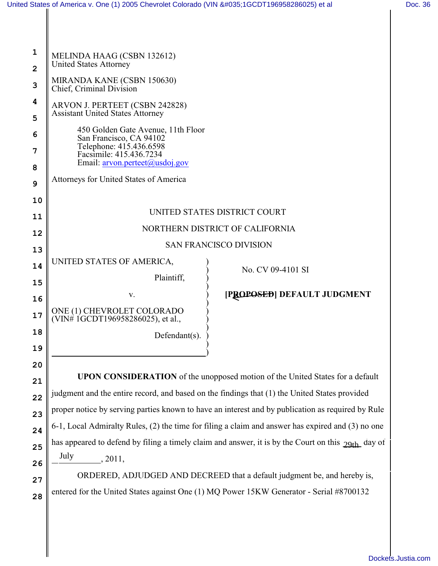II

| 1              | MELINDA HAAG (CSBN 132612)                                                                         |                             |  |
|----------------|----------------------------------------------------------------------------------------------------|-----------------------------|--|
| $\overline{2}$ | <b>United States Attorney</b>                                                                      |                             |  |
| 3              | MIRANDA KANE (CSBN 150630)<br>Chief, Criminal Division                                             |                             |  |
| 4              | ARVON J. PERTEET (CSBN 242828)                                                                     |                             |  |
| 5              | <b>Assistant United States Attorney</b>                                                            |                             |  |
| 6              | 450 Golden Gate Avenue, 11th Floor<br>San Francisco, CA 94102                                      |                             |  |
| 7              | Telephone: 415.436.6598<br>Facsimile: 415.436.7234                                                 |                             |  |
| 8              | Email: arvon.perteet@usdoj.gov                                                                     |                             |  |
| 9              | Attorneys for United States of America                                                             |                             |  |
| 10             |                                                                                                    |                             |  |
| 11             | UNITED STATES DISTRICT COURT                                                                       |                             |  |
| 12             | NORTHERN DISTRICT OF CALIFORNIA                                                                    |                             |  |
| 13             | <b>SAN FRANCISCO DIVISION</b>                                                                      |                             |  |
| 14             | UNITED STATES OF AMERICA,                                                                          |                             |  |
| 15             | Plaintiff,                                                                                         | No. CV 09-4101 SI           |  |
| 16             | V.                                                                                                 | [PROPOSED] DEFAULT JUDGMENT |  |
| 17             | ONE (1) CHEVROLET COLORADO<br>$(VIN# 1GCDT196958286025)$ , et al.,                                 |                             |  |
| 18             | Defendant(s).                                                                                      |                             |  |
| 19             |                                                                                                    |                             |  |
| 20             |                                                                                                    |                             |  |
| 21             | <b>UPON CONSIDERATION</b> of the unopposed motion of the United States for a default               |                             |  |
| 22             | judgment and the entire record, and based on the findings that (1) the United States provided      |                             |  |
| 23             | proper notice by serving parties known to have an interest and by publication as required by Rule  |                             |  |
| 24             | 6-1, Local Admiralty Rules, (2) the time for filing a claim and answer has expired and (3) no one  |                             |  |
| 25             | has appeared to defend by filing a timely claim and answer, it is by the Court on this 29th day of |                             |  |
| 26             | July<br>, 2011,                                                                                    |                             |  |
| 27             | ORDERED, ADJUDGED AND DECREED that a default judgment be, and hereby is,                           |                             |  |
| 28             | entered for the United States against One (1) MQ Power 15KW Generator - Serial #8700132            |                             |  |
|                |                                                                                                    |                             |  |
|                |                                                                                                    |                             |  |